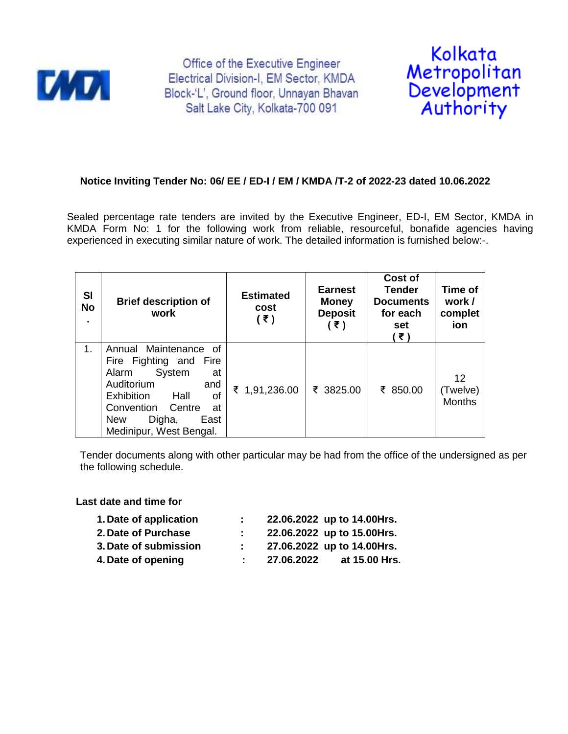

Office of the Executive Engineer Electrical Division-I, EM Sector, KMDA Block-'L', Ground floor, Unnayan Bhavan Salt Lake City, Kolkata-700 091



## **Notice Inviting Tender No: 06/ EE / ED-I / EM / KMDA /T-2 of 2022-23 dated 10.06.2022**

Sealed percentage rate tenders are invited by the Executive Engineer, ED-I, EM Sector, KMDA in KMDA Form No: 1 for the following work from reliable, resourceful, bonafide agencies having experienced in executing similar nature of work. The detailed information is furnished below:-.

| SI<br><b>No</b><br>٠. | <b>Brief description of</b><br>work                                                                                                                                                                                   | <b>Estimated</b><br>cost<br>(3) | <b>Earnest</b><br><b>Money</b><br><b>Deposit</b><br>(₹) | Cost of<br><b>Tender</b><br><b>Documents</b><br>for each<br>set<br>(₹) | Time of<br>work /<br>complet<br>ion |
|-----------------------|-----------------------------------------------------------------------------------------------------------------------------------------------------------------------------------------------------------------------|---------------------------------|---------------------------------------------------------|------------------------------------------------------------------------|-------------------------------------|
| 1.                    | Annual Maintenance of<br>Fire Fighting and<br>Fire<br>System<br>Alarm<br>at<br>Auditorium<br>and<br>Exhibition<br>Hall<br>οf<br>Convention<br>Centre<br>at<br><b>New</b><br>Digha,<br>East<br>Medinipur, West Bengal. | ₹ 1,91,236.00                   | ₹ 3825.00                                               | ₹ 850.00                                                               | 12<br>(Twelve)<br><b>Months</b>     |

Tender documents along with other particular may be had from the office of the undersigned as per the following schedule.

## **Last date and time for**

| 1. Date of application |            | 22.06.2022 up to 14.00Hrs. |
|------------------------|------------|----------------------------|
| 2. Date of Purchase    |            | 22.06.2022 up to 15.00Hrs. |
| 3. Date of submission  |            | 27.06.2022 up to 14.00Hrs. |
| 4. Date of opening     | 27.06.2022 | at 15,00 Hrs.              |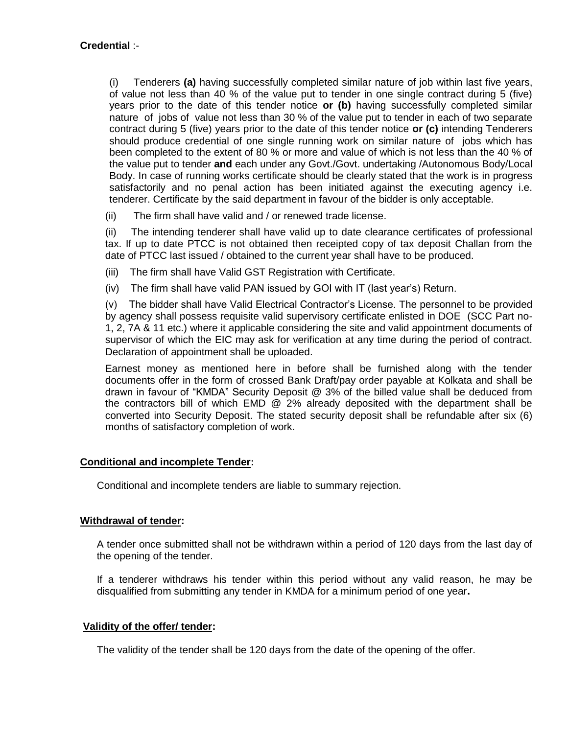(i) Tenderers **(a)** having successfully completed similar nature of job within last five years, of value not less than 40 % of the value put to tender in one single contract during 5 (five) years prior to the date of this tender notice **or (b)** having successfully completed similar nature of jobs of value not less than 30 % of the value put to tender in each of two separate contract during 5 (five) years prior to the date of this tender notice **or (c)** intending Tenderers should produce credential of one single running work on similar nature of jobs which has been completed to the extent of 80 % or more and value of which is not less than the 40 % of the value put to tender **and** each under any Govt./Govt. undertaking /Autonomous Body/Local Body. In case of running works certificate should be clearly stated that the work is in progress satisfactorily and no penal action has been initiated against the executing agency i.e. tenderer. Certificate by the said department in favour of the bidder is only acceptable.

(ii) The firm shall have valid and / or renewed trade license.

(ii) The intending tenderer shall have valid up to date clearance certificates of professional tax. If up to date PTCC is not obtained then receipted copy of tax deposit Challan from the date of PTCC last issued / obtained to the current year shall have to be produced.

- (iii) The firm shall have Valid GST Registration with Certificate.
- (iv) The firm shall have valid PAN issued by GOI with IT (last year"s) Return.

(v) The bidder shall have Valid Electrical Contractor"s License. The personnel to be provided by agency shall possess requisite valid supervisory certificate enlisted in DOE (SCC Part no-1, 2, 7A & 11 etc.) where it applicable considering the site and valid appointment documents of supervisor of which the EIC may ask for verification at any time during the period of contract. Declaration of appointment shall be uploaded.

Earnest money as mentioned here in before shall be furnished along with the tender documents offer in the form of crossed Bank Draft/pay order payable at Kolkata and shall be drawn in favour of "KMDA" Security Deposit @ 3% of the billed value shall be deduced from the contractors bill of which EMD @ 2% already deposited with the department shall be converted into Security Deposit. The stated security deposit shall be refundable after six (6) months of satisfactory completion of work.

## **Conditional and incomplete Tender:**

Conditional and incomplete tenders are liable to summary rejection.

## **Withdrawal of tender:**

A tender once submitted shall not be withdrawn within a period of 120 days from the last day of the opening of the tender.

If a tenderer withdraws his tender within this period without any valid reason, he may be disqualified from submitting any tender in KMDA for a minimum period of one year**.**

## **Validity of the offer/ tender:**

The validity of the tender shall be 120 days from the date of the opening of the offer.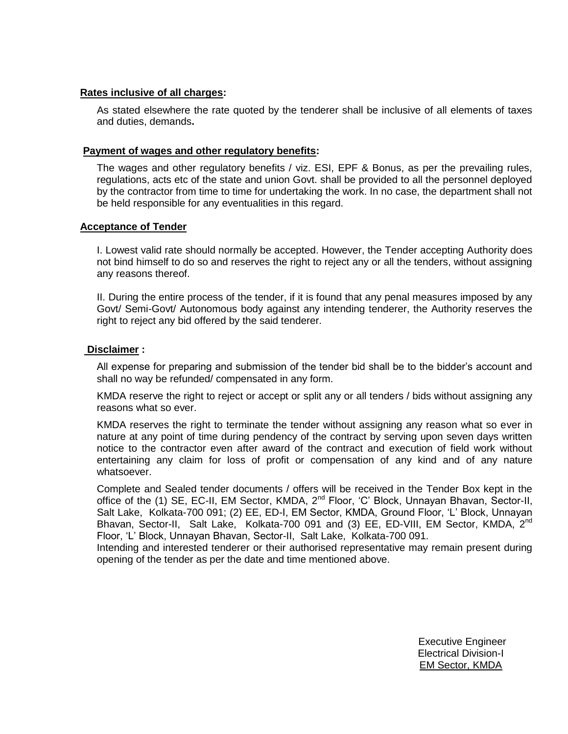## **Rates inclusive of all charges:**

As stated elsewhere the rate quoted by the tenderer shall be inclusive of all elements of taxes and duties, demands**.**

## **Payment of wages and other regulatory benefits:**

The wages and other regulatory benefits / viz. ESI, EPF & Bonus, as per the prevailing rules, regulations, acts etc of the state and union Govt. shall be provided to all the personnel deployed by the contractor from time to time for undertaking the work. In no case, the department shall not be held responsible for any eventualities in this regard.

## **Acceptance of Tender**

I. Lowest valid rate should normally be accepted. However, the Tender accepting Authority does not bind himself to do so and reserves the right to reject any or all the tenders, without assigning any reasons thereof.

II. During the entire process of the tender, if it is found that any penal measures imposed by any Govt/ Semi-Govt/ Autonomous body against any intending tenderer, the Authority reserves the right to reject any bid offered by the said tenderer.

## **Disclaimer :**

All expense for preparing and submission of the tender bid shall be to the bidder"s account and shall no way be refunded/ compensated in any form.

KMDA reserve the right to reject or accept or split any or all tenders / bids without assigning any reasons what so ever.

KMDA reserves the right to terminate the tender without assigning any reason what so ever in nature at any point of time during pendency of the contract by serving upon seven days written notice to the contractor even after award of the contract and execution of field work without entertaining any claim for loss of profit or compensation of any kind and of any nature whatsoever.

Complete and Sealed tender documents / offers will be received in the Tender Box kept in the office of the (1) SE, EC-II, EM Sector, KMDA, 2<sup>nd</sup> Floor, 'C' Block, Unnayan Bhavan, Sector-II, Salt Lake, Kolkata-700 091; (2) EE, ED-I, EM Sector, KMDA, Ground Floor, "L" Block, Unnayan Bhavan, Sector-II, Salt Lake, Kolkata-700 091 and (3) EE, ED-VIII, EM Sector, KMDA, 2<sup>nd</sup> Floor, "L" Block, Unnayan Bhavan, Sector-II, Salt Lake, Kolkata-700 091.

Intending and interested tenderer or their authorised representative may remain present during opening of the tender as per the date and time mentioned above.

> Executive Engineer Electrical Division-I EM Sector, KMDA